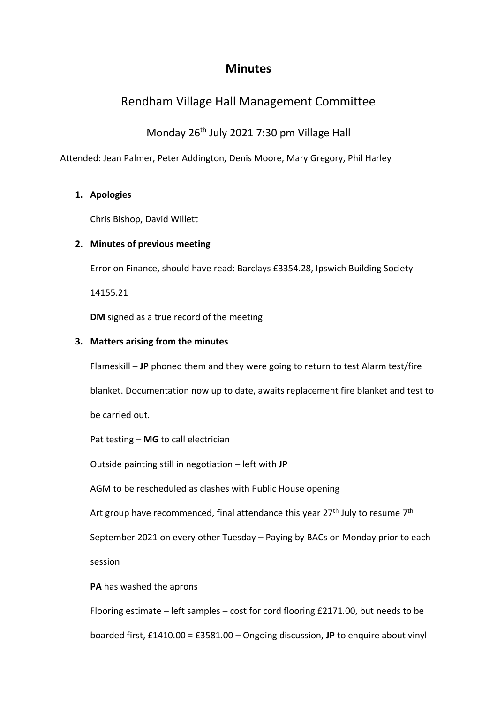# **Minutes**

# Rendham Village Hall Management Committee

Monday 26<sup>th</sup> July 2021 7:30 pm Village Hall

Attended: Jean Palmer, Peter Addington, Denis Moore, Mary Gregory, Phil Harley

## **1. Apologies**

Chris Bishop, David Willett

## **2. Minutes of previous meeting**

Error on Finance, should have read: Barclays £3354.28, Ipswich Building Society

14155.21

**DM** signed as a true record of the meeting

### **3. Matters arising from the minutes**

Flameskill – **JP** phoned them and they were going to return to test Alarm test/fire

blanket. Documentation now up to date, awaits replacement fire blanket and test to be carried out.

Pat testing – **MG** to call electrician

Outside painting still in negotiation – left with **JP**

AGM to be rescheduled as clashes with Public House opening

Art group have recommenced, final attendance this year  $27<sup>th</sup>$  July to resume  $7<sup>th</sup>$ 

September 2021 on every other Tuesday – Paying by BACs on Monday prior to each

session

**PA** has washed the aprons

Flooring estimate – left samples – cost for cord flooring £2171.00, but needs to be

boarded first, £1410.00 = £3581.00 – Ongoing discussion, **JP** to enquire about vinyl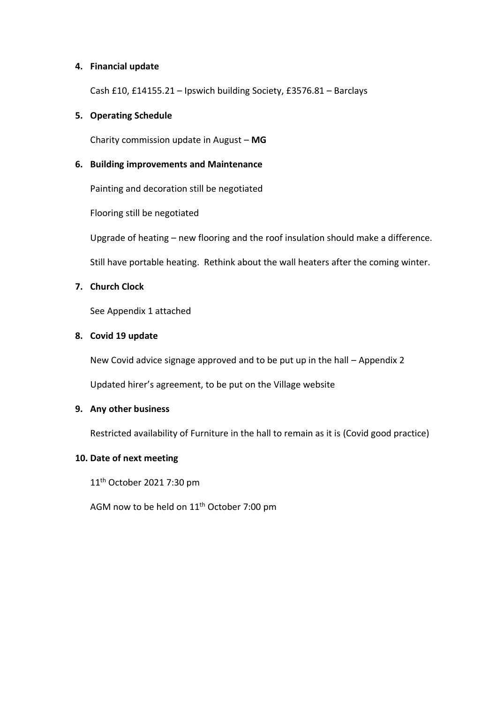#### **4. Financial update**

Cash £10, £14155.21 – Ipswich building Society, £3576.81 – Barclays

#### **5. Operating Schedule**

Charity commission update in August – **MG**

#### **6. Building improvements and Maintenance**

Painting and decoration still be negotiated

Flooring still be negotiated

Upgrade of heating – new flooring and the roof insulation should make a difference.

Still have portable heating. Rethink about the wall heaters after the coming winter.

#### **7. Church Clock**

See Appendix 1 attached

#### **8. Covid 19 update**

New Covid advice signage approved and to be put up in the hall – Appendix 2

Updated hirer's agreement, to be put on the Village website

#### **9. Any other business**

Restricted availability of Furniture in the hall to remain as it is (Covid good practice)

#### **10. Date of next meeting**

11<sup>th</sup> October 2021 7:30 pm

AGM now to be held on  $11<sup>th</sup>$  October 7:00 pm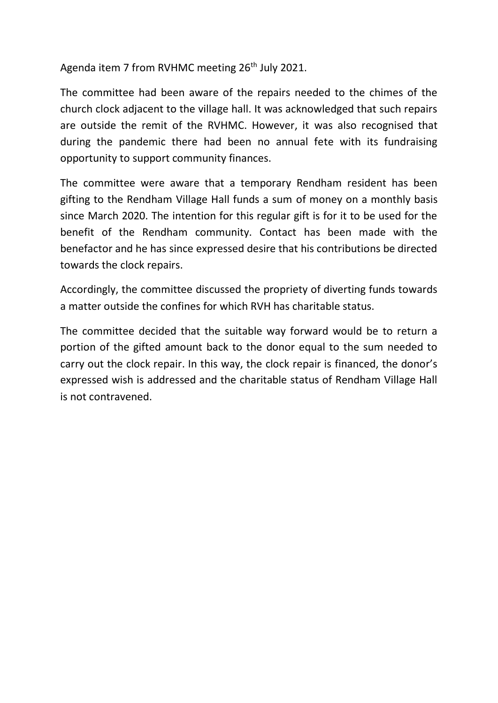Agenda item 7 from RVHMC meeting 26<sup>th</sup> July 2021.

The committee had been aware of the repairs needed to the chimes of the church clock adjacent to the village hall. It was acknowledged that such repairs are outside the remit of the RVHMC. However, it was also recognised that during the pandemic there had been no annual fete with its fundraising opportunity to support community finances.

The committee were aware that a temporary Rendham resident has been gifting to the Rendham Village Hall funds a sum of money on a monthly basis since March 2020. The intention for this regular gift is for it to be used for the benefit of the Rendham community. Contact has been made with the benefactor and he has since expressed desire that his contributions be directed towards the clock repairs.

Accordingly, the committee discussed the propriety of diverting funds towards a matter outside the confines for which RVH has charitable status.

The committee decided that the suitable way forward would be to return a portion of the gifted amount back to the donor equal to the sum needed to carry out the clock repair. In this way, the clock repair is financed, the donor's expressed wish is addressed and the charitable status of Rendham Village Hall is not contravened.